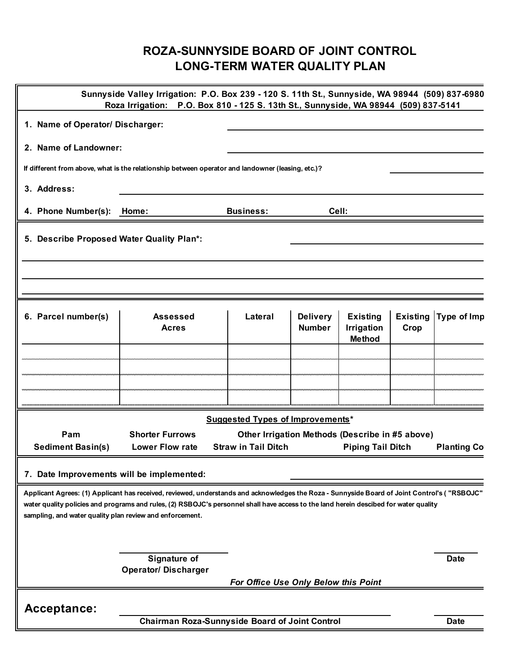## **ROZA-SUNNYSIDE BOARD OF JOINT CONTROL LONG-TERM WATER QUALITY PLAN**

| Home:                                       | <b>Business:</b>                                                                                                                                                                                                                          | Cell:                            |                                                                                                   |                                                                                                                                          |                                                                                                                                                                                                                                                                                                                                                                                                                                                                                                                                    |
|---------------------------------------------|-------------------------------------------------------------------------------------------------------------------------------------------------------------------------------------------------------------------------------------------|----------------------------------|---------------------------------------------------------------------------------------------------|------------------------------------------------------------------------------------------------------------------------------------------|------------------------------------------------------------------------------------------------------------------------------------------------------------------------------------------------------------------------------------------------------------------------------------------------------------------------------------------------------------------------------------------------------------------------------------------------------------------------------------------------------------------------------------|
|                                             |                                                                                                                                                                                                                                           |                                  |                                                                                                   |                                                                                                                                          |                                                                                                                                                                                                                                                                                                                                                                                                                                                                                                                                    |
|                                             |                                                                                                                                                                                                                                           |                                  |                                                                                                   |                                                                                                                                          |                                                                                                                                                                                                                                                                                                                                                                                                                                                                                                                                    |
|                                             |                                                                                                                                                                                                                                           |                                  |                                                                                                   |                                                                                                                                          |                                                                                                                                                                                                                                                                                                                                                                                                                                                                                                                                    |
| <b>Assessed</b><br><b>Acres</b>             | Lateral                                                                                                                                                                                                                                   | <b>Delivery</b><br><b>Number</b> | <b>Existing</b><br><b>Irrigation</b><br><b>Method</b>                                             | <b>Existing</b><br>Crop                                                                                                                  | Type of Imp                                                                                                                                                                                                                                                                                                                                                                                                                                                                                                                        |
|                                             |                                                                                                                                                                                                                                           |                                  |                                                                                                   |                                                                                                                                          |                                                                                                                                                                                                                                                                                                                                                                                                                                                                                                                                    |
|                                             |                                                                                                                                                                                                                                           |                                  |                                                                                                   |                                                                                                                                          |                                                                                                                                                                                                                                                                                                                                                                                                                                                                                                                                    |
|                                             |                                                                                                                                                                                                                                           |                                  |                                                                                                   |                                                                                                                                          |                                                                                                                                                                                                                                                                                                                                                                                                                                                                                                                                    |
|                                             |                                                                                                                                                                                                                                           |                                  |                                                                                                   |                                                                                                                                          |                                                                                                                                                                                                                                                                                                                                                                                                                                                                                                                                    |
| <b>Lower Flow rate</b>                      | <b>Straw in Tail Ditch</b><br><b>Piping Tail Ditch</b><br><b>Planting Co</b>                                                                                                                                                              |                                  |                                                                                                   |                                                                                                                                          |                                                                                                                                                                                                                                                                                                                                                                                                                                                                                                                                    |
|                                             |                                                                                                                                                                                                                                           |                                  |                                                                                                   |                                                                                                                                          |                                                                                                                                                                                                                                                                                                                                                                                                                                                                                                                                    |
|                                             |                                                                                                                                                                                                                                           |                                  |                                                                                                   |                                                                                                                                          |                                                                                                                                                                                                                                                                                                                                                                                                                                                                                                                                    |
| Signature of<br><b>Operator/ Discharger</b> |                                                                                                                                                                                                                                           |                                  |                                                                                                   |                                                                                                                                          | <b>Date</b>                                                                                                                                                                                                                                                                                                                                                                                                                                                                                                                        |
|                                             |                                                                                                                                                                                                                                           |                                  |                                                                                                   |                                                                                                                                          |                                                                                                                                                                                                                                                                                                                                                                                                                                                                                                                                    |
|                                             |                                                                                                                                                                                                                                           |                                  |                                                                                                   |                                                                                                                                          | <b>Date</b>                                                                                                                                                                                                                                                                                                                                                                                                                                                                                                                        |
|                                             | 1. Name of Operator/ Discharger:<br>2. Name of Landowner:<br>5. Describe Proposed Water Quality Plan*:<br><b>Shorter Furrows</b><br>7. Date Improvements will be implemented:<br>sampling, and water quality plan review and enforcement. |                                  | If different from above, what is the relationship between operator and landowner (leasing, etc.)? | <b>Suggested Types of Improvements*</b><br>For Office Use Only Below this Point<br><b>Chairman Roza-Sunnyside Board of Joint Control</b> | Sunnyside Valley Irrigation: P.O. Box 239 - 120 S. 11th St., Sunnyside, WA 98944 (509) 837-6980<br>Roza Irrigation: P.O. Box 810 - 125 S. 13th St., Sunnyside, WA 98944 (509) 837-5141<br>Other Irrigation Methods (Describe in #5 above)<br>Applicant Agrees: (1) Applicant has received, reviewed, understands and acknowledges the Roza - Sunnyside Board of Joint Control's ("RSBOJC"<br>water quality policies and programs and rules, (2) RSBOJC's personnel shall have access to the land herein descibed for water quality |